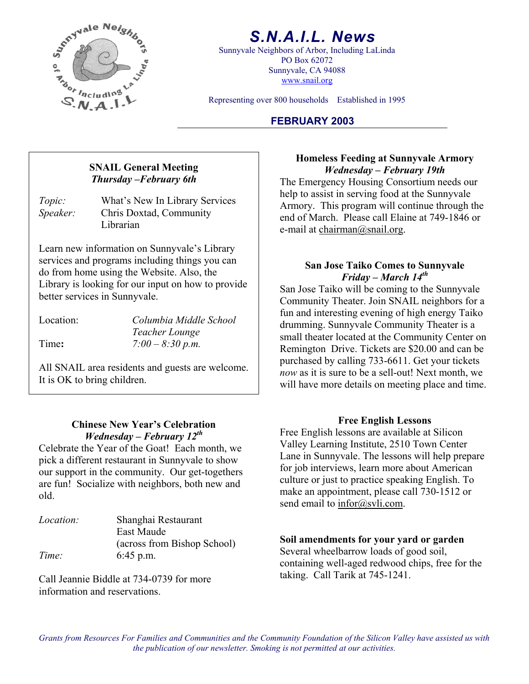

# *S.N.A.I.L. News*

Sunnyvale Neighbors of Arbor, Including LaLinda PO Box 62072 Sunnyvale, CA 94088 www.snail.org

Representing over 800 households Established in 1995

## **FEBRUARY 2003**

*Topic:* What's New In Library Services *Speaker:* Chris Doxtad, Community Librarian

Learn new information on Sunnyvale's Library services and programs including things you can do from home using the Website. Also, the Library is looking for our input on how to provide better services in Sunnyvale.

Location: *Columbia Middle School Teacher Lounge*  Time**:** *7:00 – 8:30 p.m.* 

All SNAIL area residents and guests are welcome. It is OK to bring children.

# **Free English Lessons Chinese New Year's Celebration**

Celebrate the Year of the Goat! Each month, we pick a different restaurant in Sunnyvale to show our support in the community. Our get-togethers are fun! Socialize with neighbors, both new and old.

| <i>Location:</i> | Shanghai Restaurant         |
|------------------|-----------------------------|
|                  | East Maude                  |
|                  | (across from Bishop School) |
| Time:            | $6:45$ p.m.                 |

Call Jeannie Biddle at 734-0739 for more information and reservations.

**FRAIL General Meeting** *Homeless Feeding at Sunnyvale Armory*<br>*Thursday – February 6th The Emergency Housing Consortium needs our* help to assist in serving food at the Sunnyvale Armory. This program will continue through the end of March. Please call Elaine at 749-1846 or e-mail at chairman@snail.org.

### **San Jose Taiko Comes to Sunnyvale**  *Friday – March 14th*

San Jose Taiko will be coming to the Sunnyvale Community Theater. Join SNAIL neighbors for a fun and interesting evening of high energy Taiko drumming. Sunnyvale Community Theater is a small theater located at the Community Center on Remington Drive. Tickets are \$20.00 and can be purchased by calling 733-6611. Get your tickets *now* as it is sure to be a sell-out! Next month, we will have more details on meeting place and time.

*Wednesday – February 12<sup>th</sup>* Free English lessons are available at Silicon Valley Learning Institute, 2510 Town Center Lane in Sunnyvale. The lessons will help prepare for job interviews, learn more about American culture or just to practice speaking English. To make an appointment, please call 730-1512 or send email to infor@svli.com.

# **Soil amendments for your yard or garden**<br>Several wheelbarrow loads of good soil,

containing well-aged redwood chips, free for the taking. Call Tarik at 745-1241.

*Grants from Resources For Families and Communities and the Community Foundation of the Silicon Valley have assisted us with the publication of our newsletter. Smoking is not permitted at our activities.*